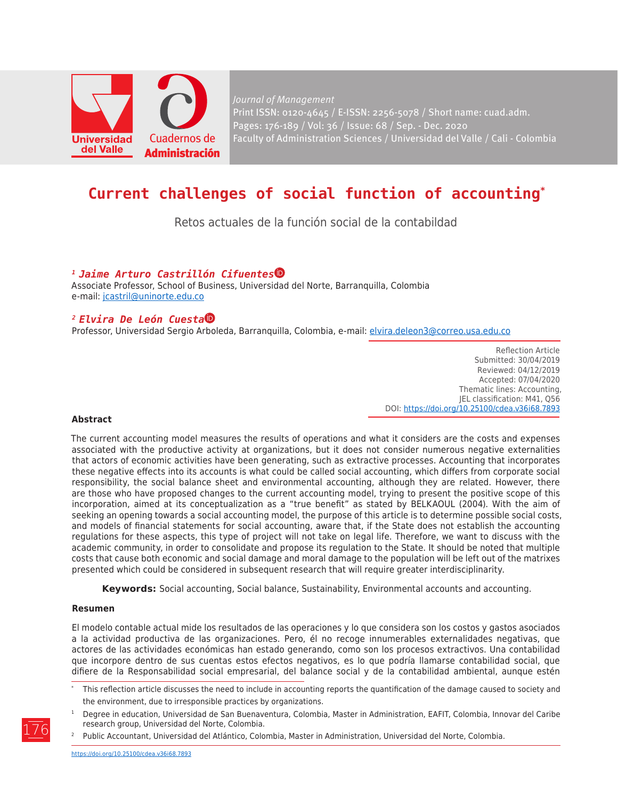

*Journal of Management* Print ISSN: 0120-4645 / E-ISSN: 2256-5078 / Short name: cuad.adm. Pages: 176-189 / Vol: 36 / Issue: 68 / Sep. - Dec. 2020 Faculty of Administration Sciences / Universidad del Valle / Cali - Colombia

# **Current challenges of social function of accounting\***

Retos actuales de la función social de la contabildad

### *1 Jaime Arturo Castrillón Cifuente[s](https://orcid.org/0000-0001-5122-7051)*

Associate Professor, School of Business, Universidad del Norte, Barranquilla, Colombia e-mail: [jcastril@uninorte.edu.co](mailto:jcastril%40uninorte.edu.co?subject=)

### *2 Elvira De León Cuest[a](https://orcid.org/0000-0001-6735-5787)*

Professor, Universidad Sergio Arboleda, Barranquilla, Colombia, e-mail: [elvira.deleon3@correo.usa.edu.co](mailto:elvira.deleon3%40correo.usa.edu.co?subject=)

Reflection Article Submitted: 30/04/2019 Reviewed: 04/12/2019 Accepted: 07/04/2020 Thematic lines: Accounting, JEL classification: M41, Q56 DOI: https://doi.org/10.25100/cdea.v36i68.7893

#### **Abstract**

The current accounting model measures the results of operations and what it considers are the costs and expenses associated with the productive activity at organizations, but it does not consider numerous negative externalities that actors of economic activities have been generating, such as extractive processes. Accounting that incorporates these negative effects into its accounts is what could be called social accounting, which differs from corporate social responsibility, the social balance sheet and environmental accounting, although they are related. However, there are those who have proposed changes to the current accounting model, trying to present the positive scope of this incorporation, aimed at its conceptualization as a "true benefit" as stated by BELKAOUL (2004). With the aim of seeking an opening towards a social accounting model, the purpose of this article is to determine possible social costs, and models of financial statements for social accounting, aware that, if the State does not establish the accounting regulations for these aspects, this type of project will not take on legal life. Therefore, we want to discuss with the academic community, in order to consolidate and propose its regulation to the State. It should be noted that multiple costs that cause both economic and social damage and moral damage to the population will be left out of the matrixes presented which could be considered in subsequent research that will require greater interdisciplinarity.

**Keywords:** Social accounting, Social balance, Sustainability, Environmental accounts and accounting.

#### **Resumen**

El modelo contable actual mide los resultados de las operaciones y lo que considera son los costos y gastos asociados a la actividad productiva de las organizaciones. Pero, él no recoge innumerables externalidades negativas, que actores de las actividades económicas han estado generando, como son los procesos extractivos. Una contabilidad que incorpore dentro de sus cuentas estos efectos negativos, es lo que podría llamarse contabilidad social, que difiere de la Responsabilidad social empresarial, del balance social y de la contabilidad ambiental, aunque estén

- This reflection article discusses the need to include in accounting reports the quantification of the damage caused to society and the environment, due to irresponsible practices by organizations.
- <sup>1</sup> Degree in education, Universidad de San Buenaventura, Colombia, Master in Administration, EAFIT, Colombia, Innovar del Caribe research group, Universidad del Norte, Colombia.
- <sup>2</sup> Public Accountant, Universidad del Atlántico, Colombia, Master in Administration, Universidad del Norte, Colombia.

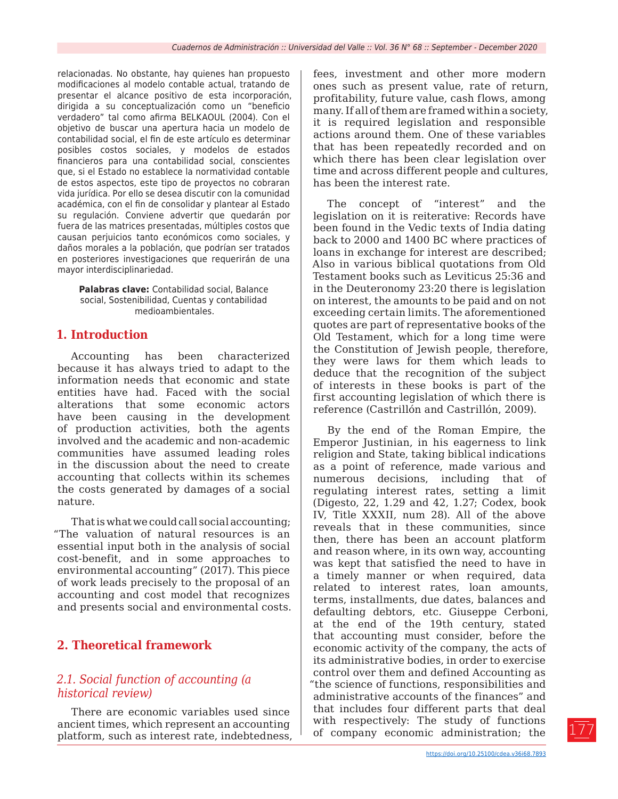relacionadas. No obstante, hay quienes han propuesto modificaciones al modelo contable actual, tratando de presentar el alcance positivo de esta incorporación, dirigida a su conceptualización como un "beneficio verdadero" tal como afirma BELKAOUL (2004). Con el objetivo de buscar una apertura hacia un modelo de contabilidad social, el fin de este artículo es determinar posibles costos sociales, y modelos de estados financieros para una contabilidad social, conscientes que, si el Estado no establece la normatividad contable de estos aspectos, este tipo de proyectos no cobraran vida jurídica. Por ello se desea discutir con la comunidad académica, con el fin de consolidar y plantear al Estado su regulación. Conviene advertir que quedarán por fuera de las matrices presentadas, múltiples costos que causan perjuicios tanto económicos como sociales, y daños morales a la población, que podrían ser tratados en posteriores investigaciones que requerirán de una mayor interdisciplinariedad.

**Palabras clave:** Contabilidad social, Balance social, Sostenibilidad, Cuentas y contabilidad medioambientales.

### **1. Introduction**

Accounting has been characterized because it has always tried to adapt to the information needs that economic and state entities have had. Faced with the social alterations that some economic actors have been causing in the development of production activities, both the agents involved and the academic and non-academic communities have assumed leading roles in the discussion about the need to create accounting that collects within its schemes the costs generated by damages of a social nature.

That is what we could call social accounting; "The valuation of natural resources is an essential input both in the analysis of social cost-benefit, and in some approaches to environmental accounting" (2017). This piece of work leads precisely to the proposal of an accounting and cost model that recognizes and presents social and environmental costs.

### **2. Theoretical framework**

### *2.1. Social function of accounting (a historical review)*

There are economic variables used since ancient times, which represent an accounting platform, such as interest rate, indebtedness, fees, investment and other more modern ones such as present value, rate of return, profitability, future value, cash flows, among many. If all of them are framed within a society, it is required legislation and responsible actions around them. One of these variables that has been repeatedly recorded and on which there has been clear legislation over time and across different people and cultures, has been the interest rate.

The concept of "interest" and the legislation on it is reiterative: Records have been found in the Vedic texts of India dating back to 2000 and 1400 BC where practices of loans in exchange for interest are described; Also in various biblical quotations from Old Testament books such as Leviticus 25:36 and in the Deuteronomy 23:20 there is legislation on interest, the amounts to be paid and on not exceeding certain limits. The aforementioned quotes are part of representative books of the Old Testament, which for a long time were the Constitution of Jewish people, therefore, they were laws for them which leads to deduce that the recognition of the subject of interests in these books is part of the first accounting legislation of which there is reference (Castrillón and Castrillón, 2009).

By the end of the Roman Empire, the Emperor Justinian, in his eagerness to link religion and State, taking biblical indications as a point of reference, made various and numerous decisions, including that of regulating interest rates, setting a limit (Digesto, 22, 1.29 and 42, 1.27; Codex, book IV, Title XXXII, num 28). All of the above reveals that in these communities, since then, there has been an account platform and reason where, in its own way, accounting was kept that satisfied the need to have in a timely manner or when required, data related to interest rates, loan amounts, terms, installments, due dates, balances and defaulting debtors, etc. Giuseppe Cerboni, at the end of the 19th century, stated that accounting must consider, before the economic activity of the company, the acts of its administrative bodies, in order to exercise control over them and defined Accounting as "the science of functions, responsibilities and administrative accounts of the finances" and that includes four different parts that deal with respectively: The study of functions of company economic administration; the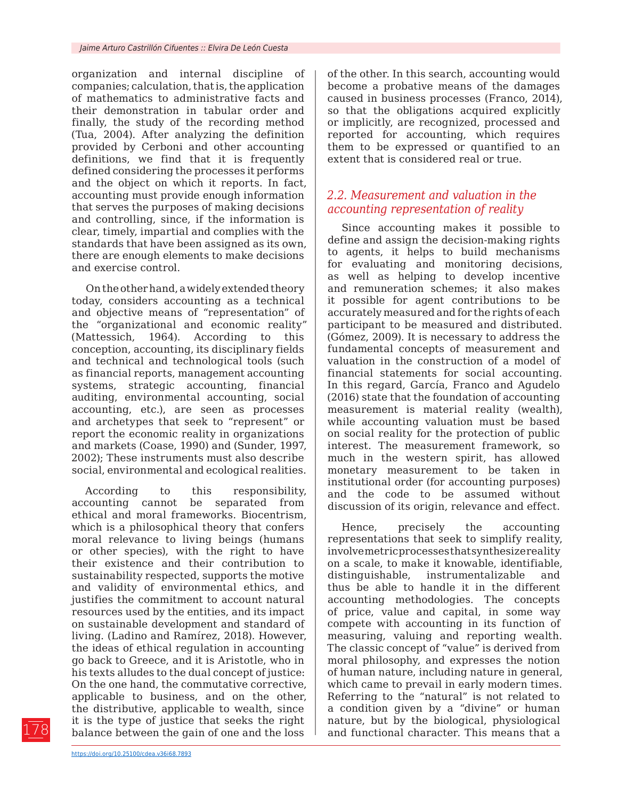organization and internal discipline of companies; calculation, that is, the application of mathematics to administrative facts and their demonstration in tabular order and finally, the study of the recording method (Tua, 2004). After analyzing the definition provided by Cerboni and other accounting definitions, we find that it is frequently defined considering the processes it performs and the object on which it reports. In fact, accounting must provide enough information that serves the purposes of making decisions and controlling, since, if the information is clear, timely, impartial and complies with the standards that have been assigned as its own, there are enough elements to make decisions and exercise control.

On the other hand, a widely extended theory today, considers accounting as a technical and objective means of "representation" of the "organizational and economic reality" (Mattessich, 1964). According to this conception, accounting, its disciplinary fields and technical and technological tools (such as financial reports, management accounting systems, strategic accounting, financial auditing, environmental accounting, social accounting, etc.), are seen as processes and archetypes that seek to "represent" or report the economic reality in organizations and markets (Coase, 1990) and (Sunder, 1997, 2002); These instruments must also describe social, environmental and ecological realities.

According to this responsibility, accounting cannot be separated from ethical and moral frameworks. Biocentrism, which is a philosophical theory that confers moral relevance to living beings (humans or other species), with the right to have their existence and their contribution to sustainability respected, supports the motive and validity of environmental ethics, and justifies the commitment to account natural resources used by the entities, and its impact on sustainable development and standard of living. (Ladino and Ramírez, 2018). However, the ideas of ethical regulation in accounting go back to Greece, and it is Aristotle, who in his texts alludes to the dual concept of justice: On the one hand, the commutative corrective, applicable to business, and on the other, the distributive, applicable to wealth, since it is the type of justice that seeks the right balance between the gain of one and the loss

of the other. In this search, accounting would become a probative means of the damages caused in business processes (Franco, 2014), so that the obligations acquired explicitly or implicitly, are recognized, processed and reported for accounting, which requires them to be expressed or quantified to an extent that is considered real or true.

### *2.2. Measurement and valuation in the accounting representation of reality*

Since accounting makes it possible to define and assign the decision-making rights to agents, it helps to build mechanisms for evaluating and monitoring decisions, as well as helping to develop incentive and remuneration schemes; it also makes it possible for agent contributions to be accurately measured and for the rights of each participant to be measured and distributed. (Gómez, 2009). It is necessary to address the fundamental concepts of measurement and valuation in the construction of a model of financial statements for social accounting. In this regard, García, Franco and Agudelo (2016) state that the foundation of accounting measurement is material reality (wealth), while accounting valuation must be based on social reality for the protection of public interest. The measurement framework, so much in the western spirit, has allowed monetary measurement to be taken in institutional order (for accounting purposes) and the code to be assumed without discussion of its origin, relevance and effect.

Hence, precisely the accounting representations that seek to simplify reality, involve metric processes that synthesize reality on a scale, to make it knowable, identifiable, distinguishable, instrumentalizable and thus be able to handle it in the different accounting methodologies. The concepts of price, value and capital, in some way compete with accounting in its function of measuring, valuing and reporting wealth. The classic concept of "value" is derived from moral philosophy, and expresses the notion of human nature, including nature in general, which came to prevail in early modern times. Referring to the "natural" is not related to a condition given by a "divine" or human nature, but by the biological, physiological and functional character. This means that a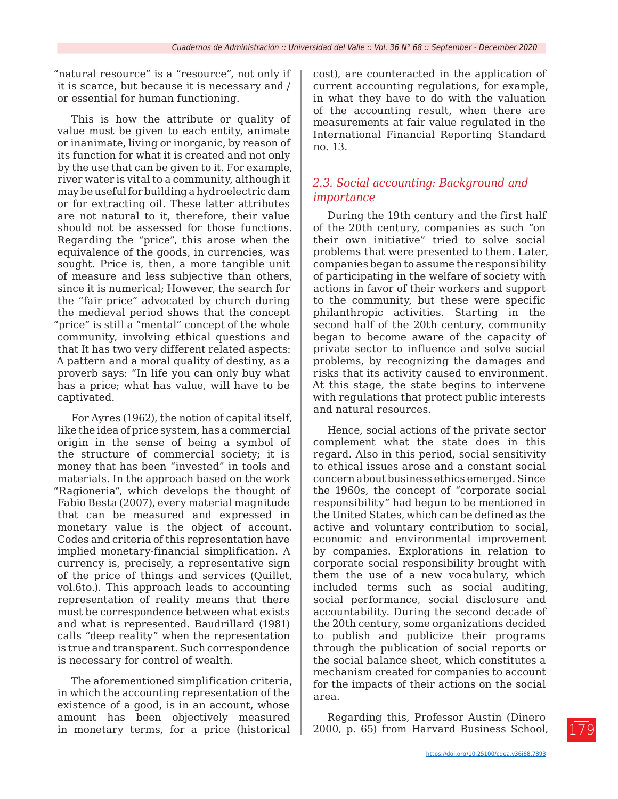"natural resource" is a "resource", not only if it is scarce, but because it is necessary and / or essential for human functioning.

This is how the attribute or quality of value must be given to each entity, animate or inanimate, living or inorganic, by reason of its function for what it is created and not only by the use that can be given to it. For example, river water is vital to a community, although it may be useful for building a hydroelectric dam or for extracting oil. These latter attributes are not natural to it, therefore, their value should not be assessed for those functions. Regarding the "price", this arose when the equivalence of the goods, in currencies, was sought. Price is, then, a more tangible unit of measure and less subjective than others, since it is numerical; However, the search for the "fair price" advocated by church during the medieval period shows that the concept "price" is still a "mental" concept of the whole community, involving ethical questions and that It has two very different related aspects: A pattern and a moral quality of destiny, as a proverb says: "In life you can only buy what has a price; what has value, will have to be captivated.

For Ayres (1962), the notion of capital itself, like the idea of price system, has a commercial origin in the sense of being a symbol of the structure of commercial society; it is money that has been "invested" in tools and materials. In the approach based on the work "Ragioneria", which develops the thought of Fabio Besta (2007), every material magnitude that can be measured and expressed in monetary value is the object of account. Codes and criteria of this representation have implied monetary-financial simplification. A currency is, precisely, a representative sign of the price of things and services (Quillet, vol.6to.). This approach leads to accounting representation of reality means that there must be correspondence between what exists and what is represented. Baudrillard (1981) calls "deep reality" when the representation is true and transparent. Such correspondence is necessary for control of wealth.

The aforementioned simplification criteria, in which the accounting representation of the existence of a good, is in an account, whose amount has been objectively measured in monetary terms, for a price (historical

cost), are counteracted in the application of current accounting regulations, for example, in what they have to do with the valuation of the accounting result, when there are measurements at fair value regulated in the International Financial Reporting Standard no. 13.

### *2.3. Social accounting: Background and importance*

During the 19th century and the first half of the 20th century, companies as such "on their own initiative" tried to solve social problems that were presented to them. Later, companies began to assume the responsibility of participating in the welfare of society with actions in favor of their workers and support to the community, but these were specific philanthropic activities. Starting in the second half of the 20th century, community began to become aware of the capacity of private sector to influence and solve social problems, by recognizing the damages and risks that its activity caused to environment. At this stage, the state begins to intervene with regulations that protect public interests and natural resources.

Hence, social actions of the private sector complement what the state does in this regard. Also in this period, social sensitivity to ethical issues arose and a constant social concern about business ethics emerged. Since the 1960s, the concept of "corporate social responsibility" had begun to be mentioned in the United States, which can be defined as the active and voluntary contribution to social, economic and environmental improvement by companies. Explorations in relation to corporate social responsibility brought with them the use of a new vocabulary, which included terms such as social auditing, social performance, social disclosure and accountability. During the second decade of the 20th century, some organizations decided to publish and publicize their programs through the publication of social reports or the social balance sheet, which constitutes a mechanism created for companies to account for the impacts of their actions on the social area.

Regarding this, Professor Austin (Dinero 2000, p. 65) from Harvard Business School,

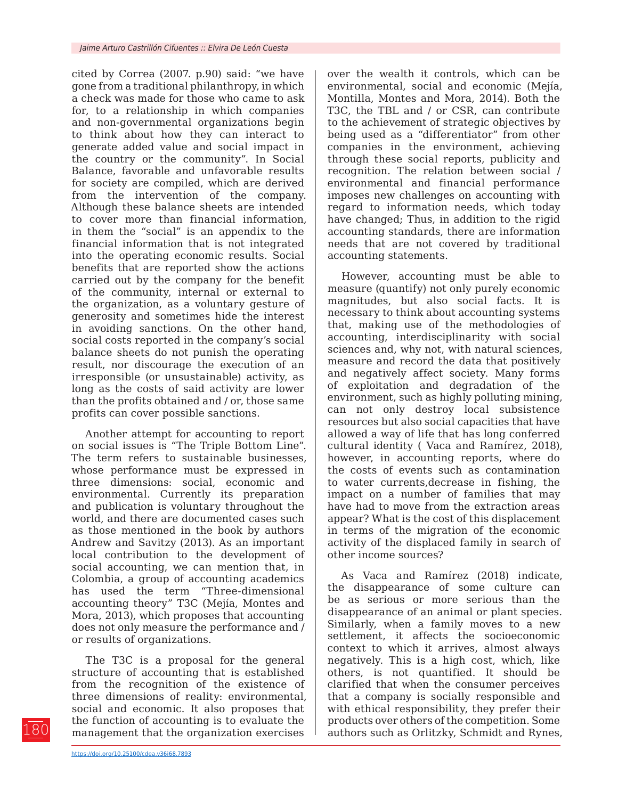cited by Correa (2007. p.90) said: "we have gone from a traditional philanthropy, in which a check was made for those who came to ask for, to a relationship in which companies and non-governmental organizations begin to think about how they can interact to generate added value and social impact in the country or the community". In Social Balance, favorable and unfavorable results for society are compiled, which are derived from the intervention of the company. Although these balance sheets are intended to cover more than financial information, in them the "social" is an appendix to the financial information that is not integrated into the operating economic results. Social benefits that are reported show the actions carried out by the company for the benefit of the community, internal or external to the organization, as a voluntary gesture of generosity and sometimes hide the interest in avoiding sanctions. On the other hand, social costs reported in the company's social balance sheets do not punish the operating result, nor discourage the execution of an irresponsible (or unsustainable) activity, as long as the costs of said activity are lower than the profits obtained and / or, those same profits can cover possible sanctions.

Another attempt for accounting to report on social issues is "The Triple Bottom Line". The term refers to sustainable businesses, whose performance must be expressed in three dimensions: social, economic and environmental. Currently its preparation and publication is voluntary throughout the world, and there are documented cases such as those mentioned in the book by authors Andrew and Savitzy (2013). As an important local contribution to the development of social accounting, we can mention that, in Colombia, a group of accounting academics has used the term "Three-dimensional accounting theory" T3C (Mejía, Montes and Mora, 2013), which proposes that accounting does not only measure the performance and / or results of organizations.

The T3C is a proposal for the general structure of accounting that is established from the recognition of the existence of three dimensions of reality: environmental, social and economic. It also proposes that the function of accounting is to evaluate the management that the organization exercises

over the wealth it controls, which can be environmental, social and economic (Mejía, Montilla, Montes and Mora, 2014). Both the T3C, the TBL and / or CSR, can contribute to the achievement of strategic objectives by being used as a "differentiator" from other companies in the environment, achieving through these social reports, publicity and recognition. The relation between social / environmental and financial performance imposes new challenges on accounting with regard to information needs, which today have changed; Thus, in addition to the rigid accounting standards, there are information needs that are not covered by traditional accounting statements.

However, accounting must be able to measure (quantify) not only purely economic magnitudes, but also social facts. It is necessary to think about accounting systems that, making use of the methodologies of accounting, interdisciplinarity with social sciences and, why not, with natural sciences, measure and record the data that positively and negatively affect society. Many forms of exploitation and degradation of the environment, such as highly polluting mining, can not only destroy local subsistence resources but also social capacities that have allowed a way of life that has long conferred cultural identity ( Vaca and Ramírez, 2018), however, in accounting reports, where do the costs of events such as contamination to water currents,decrease in fishing, the impact on a number of families that may have had to move from the extraction areas appear? What is the cost of this displacement in terms of the migration of the economic activity of the displaced family in search of other income sources?

As Vaca and Ramírez (2018) indicate, the disappearance of some culture can be as serious or more serious than the disappearance of an animal or plant species. Similarly, when a family moves to a new settlement, it affects the socioeconomic context to which it arrives, almost always negatively. This is a high cost, which, like others, is not quantified. It should be clarified that when the consumer perceives that a company is socially responsible and with ethical responsibility, they prefer their products over others of the competition. Some authors such as Orlitzky, Schmidt and Rynes,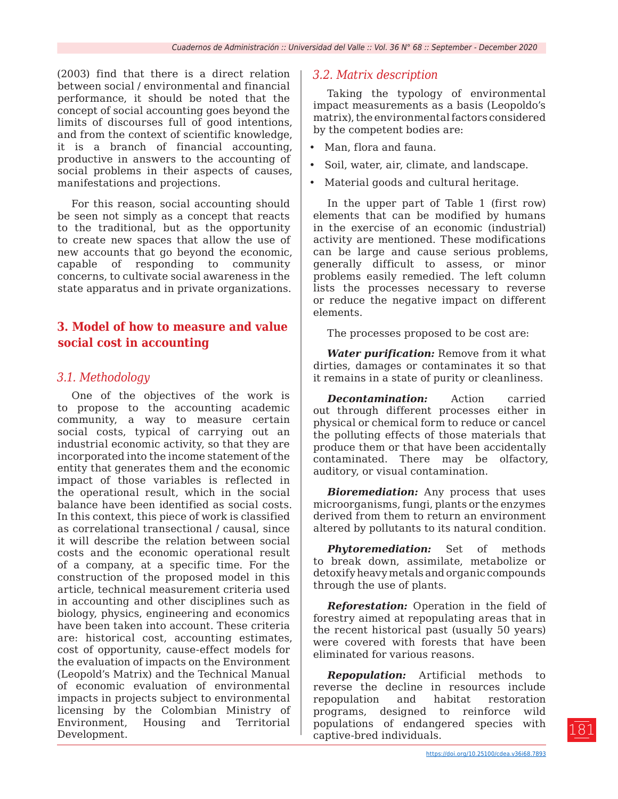(2003) find that there is a direct relation between social / environmental and financial performance, it should be noted that the concept of social accounting goes beyond the limits of discourses full of good intentions, and from the context of scientific knowledge, it is a branch of financial accounting, productive in answers to the accounting of social problems in their aspects of causes, manifestations and projections.

For this reason, social accounting should be seen not simply as a concept that reacts to the traditional, but as the opportunity to create new spaces that allow the use of new accounts that go beyond the economic, capable of responding to community concerns, to cultivate social awareness in the state apparatus and in private organizations.

## **3. Model of how to measure and value social cost in accounting**

### *3.1. Methodology*

One of the objectives of the work is to propose to the accounting academic community, a way to measure certain social costs, typical of carrying out an industrial economic activity, so that they are incorporated into the income statement of the entity that generates them and the economic impact of those variables is reflected in the operational result, which in the social balance have been identified as social costs. In this context, this piece of work is classified as correlational transectional / causal, since it will describe the relation between social costs and the economic operational result of a company, at a specific time. For the construction of the proposed model in this article, technical measurement criteria used in accounting and other disciplines such as biology, physics, engineering and economics have been taken into account. These criteria are: historical cost, accounting estimates, cost of opportunity, cause-effect models for the evaluation of impacts on the Environment (Leopold's Matrix) and the Technical Manual of economic evaluation of environmental impacts in projects subject to environmental licensing by the Colombian Ministry of Environment, Housing and Territorial Development.

### *3.2. Matrix description*

Taking the typology of environmental impact measurements as a basis (Leopoldo's matrix), the environmental factors considered by the competent bodies are:

- Man, flora and fauna.
- Soil, water, air, climate, and landscape.
- Material goods and cultural heritage.

In the upper part of Table 1 (first row) elements that can be modified by humans in the exercise of an economic (industrial) activity are mentioned. These modifications can be large and cause serious problems, generally difficult to assess, or minor problems easily remedied. The left column lists the processes necessary to reverse or reduce the negative impact on different elements.

The processes proposed to be cost are:

*Water purification:* Remove from it what dirties, damages or contaminates it so that it remains in a state of purity or cleanliness.

*Decontamination:* Action carried out through different processes either in physical or chemical form to reduce or cancel the polluting effects of those materials that produce them or that have been accidentally contaminated. There may be olfactory, auditory, or visual contamination.

*Bioremediation:* Any process that uses microorganisms, fungi, plants or the enzymes derived from them to return an environment altered by pollutants to its natural condition.

*Phytoremediation:* Set of methods to break down, assimilate, metabolize or detoxify heavy metals and organic compounds through the use of plants.

*Reforestation:* Operation in the field of forestry aimed at repopulating areas that in the recent historical past (usually 50 years) were covered with forests that have been eliminated for various reasons.

*Repopulation:* Artificial methods to reverse the decline in resources include repopulation and habitat restoration programs, designed to reinforce wild populations of endangered species with captive-bred individuals.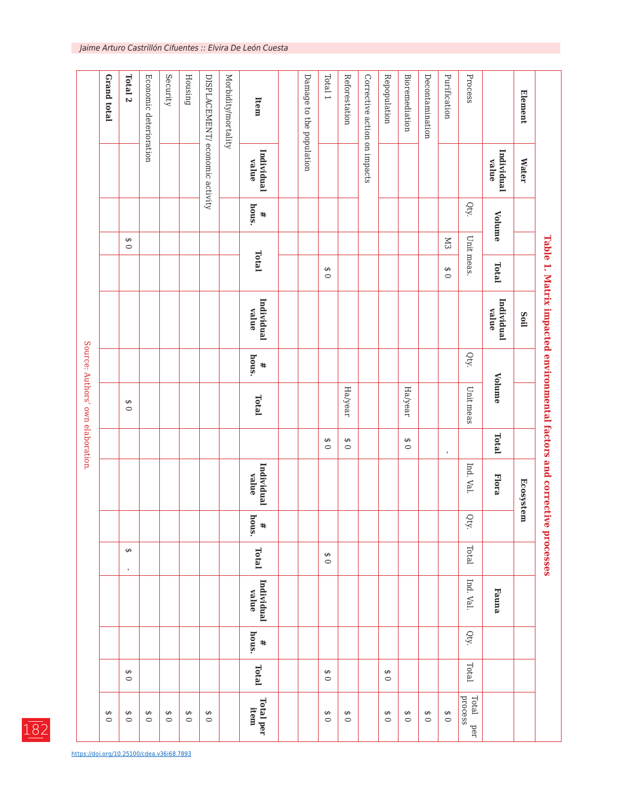|                                   | Grand total         | Total <sub>2</sub>       | Economic deterioration | Security     | Housing             | DISPLACEMENT/ economic activity | Morbidity/mortality | Item                | Damage to the population | Total 1             | Reforestation | Corrective action on impacts | Repopulation        | <b>Bioremediation</b>     | Decontamination | Purification   | Process                 |                     | <b>Element</b> |                                                                         |
|-----------------------------------|---------------------|--------------------------|------------------------|--------------|---------------------|---------------------------------|---------------------|---------------------|--------------------------|---------------------|---------------|------------------------------|---------------------|---------------------------|-----------------|----------------|-------------------------|---------------------|----------------|-------------------------------------------------------------------------|
|                                   |                     |                          |                        |              |                     |                                 |                     | Individual<br>value |                          |                     |               |                              |                     |                           |                 |                |                         | Individual<br>value | <b>Water</b>   |                                                                         |
|                                   |                     |                          |                        |              |                     |                                 |                     | hous.<br>#          |                          |                     |               |                              |                     |                           |                 |                | Qty.                    | Volume              |                |                                                                         |
|                                   |                     | ↮<br>$\circ$             |                        |              |                     |                                 |                     |                     |                          |                     |               |                              |                     |                           |                 | K <sub>3</sub> |                         |                     |                |                                                                         |
|                                   |                     |                          |                        |              |                     |                                 |                     | Total               |                          | $\Theta$<br>$\circ$ |               |                              |                     |                           |                 | ↮<br>$\circ$   | Unit meas.              | Total               |                |                                                                         |
|                                   |                     |                          |                        |              |                     |                                 |                     | Individual<br>value |                          |                     |               |                              |                     |                           |                 |                |                         | Individual<br>value | Soil           | Table 1. Matrix impacted environmental factors and corrective processes |
|                                   |                     |                          |                        |              |                     |                                 |                     | hous.<br>#          |                          |                     |               |                              |                     |                           |                 |                | Qty.                    |                     |                |                                                                         |
| Source: Authors' own elaboration. |                     | ↮<br>$\circ$             |                        |              |                     |                                 |                     | Total               |                          |                     | Ha/year       |                              |                     | Ha/year                   |                 |                | Unit meas               | Volume              |                |                                                                         |
|                                   |                     |                          |                        |              |                     |                                 |                     |                     |                          | $\Theta$<br>$\circ$ | ↮<br>$\circ$  |                              |                     | $\pmb{\Theta}$<br>$\circ$ |                 | $\mathbf{r}$   |                         | Total               |                |                                                                         |
|                                   |                     |                          |                        |              |                     |                                 |                     | Individual<br>value |                          |                     |               |                              |                     |                           |                 |                | Ind. Val.               | <b>Flora</b>        | Ecosystem      |                                                                         |
|                                   |                     |                          |                        |              |                     |                                 |                     | hous.<br>$\ddagger$ |                          |                     |               |                              |                     |                           |                 |                | Qty.                    |                     |                |                                                                         |
|                                   |                     | $\Theta$<br>$\mathbf{r}$ |                        |              |                     |                                 |                     | Total               |                          | $\Theta$<br>$\circ$ |               |                              |                     |                           |                 |                | Total                   |                     |                |                                                                         |
|                                   |                     |                          |                        |              |                     |                                 |                     | Individual<br>value |                          |                     |               |                              |                     |                           |                 |                | Ind. Val.               | Fauna               |                |                                                                         |
|                                   |                     |                          |                        |              |                     |                                 |                     | hous.<br>$\ddagger$ |                          |                     |               |                              |                     |                           |                 |                | Qty.                    |                     |                |                                                                         |
|                                   |                     | $\Theta$<br>$\circ$      |                        |              |                     |                                 |                     | Total               |                          | $\Theta$<br>$\circ$ |               |                              | $\Theta$<br>$\circ$ |                           |                 |                | Total                   |                     |                |                                                                         |
|                                   | $\Theta$<br>$\circ$ | $\Theta$<br>$\circ$      | $\Theta$<br>$\circ$    | ↮<br>$\circ$ | $\Theta$<br>$\circ$ | $\Theta$<br>$\circ$             |                     | Total per<br>item   |                          | $\Theta$<br>$\circ$ | ↮<br>$\circ$  |                              | $\Theta$<br>$\circ$ | $\Theta$<br>$\circ$       | ↮<br>$\circ$    | $\frac{6}{9}$  | process<br>Total<br>ber |                     |                |                                                                         |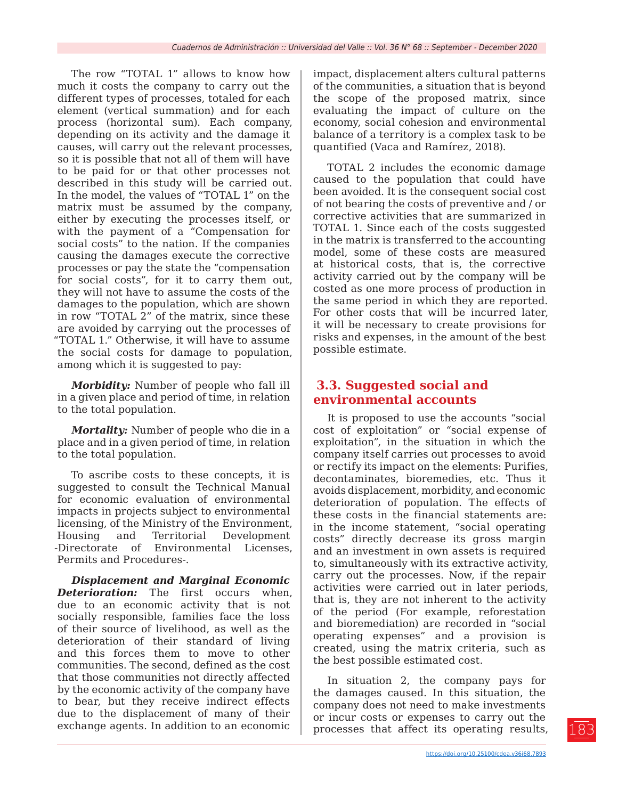The row "TOTAL 1" allows to know how much it costs the company to carry out the different types of processes, totaled for each element (vertical summation) and for each process (horizontal sum). Each company, depending on its activity and the damage it causes, will carry out the relevant processes, so it is possible that not all of them will have to be paid for or that other processes not described in this study will be carried out. In the model, the values of "TOTAL 1" on the matrix must be assumed by the company, either by executing the processes itself, or with the payment of a "Compensation for social costs" to the nation. If the companies causing the damages execute the corrective processes or pay the state the "compensation for social costs", for it to carry them out, they will not have to assume the costs of the damages to the population, which are shown in row "TOTAL 2" of the matrix, since these are avoided by carrying out the processes of "TOTAL 1." Otherwise, it will have to assume the social costs for damage to population, among which it is suggested to pay:

*Morbidity:* Number of people who fall ill in a given place and period of time, in relation to the total population.

*Mortality:* Number of people who die in a place and in a given period of time, in relation to the total population.

To ascribe costs to these concepts, it is suggested to consult the Technical Manual for economic evaluation of environmental impacts in projects subject to environmental licensing, of the Ministry of the Environment, Housing and Territorial Development -Directorate of Environmental Licenses, Permits and Procedures-.

*Displacement and Marginal Economic Deterioration:* The first occurs when, due to an economic activity that is not socially responsible, families face the loss of their source of livelihood, as well as the deterioration of their standard of living and this forces them to move to other communities. The second, defined as the cost that those communities not directly affected by the economic activity of the company have to bear, but they receive indirect effects due to the displacement of many of their exchange agents. In addition to an economic

impact, displacement alters cultural patterns of the communities, a situation that is beyond the scope of the proposed matrix, since evaluating the impact of culture on the economy, social cohesion and environmental balance of a territory is a complex task to be quantified (Vaca and Ramírez, 2018).

TOTAL 2 includes the economic damage caused to the population that could have been avoided. It is the consequent social cost of not bearing the costs of preventive and / or corrective activities that are summarized in TOTAL 1. Since each of the costs suggested in the matrix is transferred to the accounting model, some of these costs are measured at historical costs, that is, the corrective activity carried out by the company will be costed as one more process of production in the same period in which they are reported. For other costs that will be incurred later, it will be necessary to create provisions for risks and expenses, in the amount of the best possible estimate.

## **3.3. Suggested social and environmental accounts**

It is proposed to use the accounts "social cost of exploitation" or "social expense of exploitation", in the situation in which the company itself carries out processes to avoid or rectify its impact on the elements: Purifies, decontaminates, bioremedies, etc. Thus it avoids displacement, morbidity, and economic deterioration of population. The effects of these costs in the financial statements are: in the income statement, "social operating costs" directly decrease its gross margin and an investment in own assets is required to, simultaneously with its extractive activity, carry out the processes. Now, if the repair activities were carried out in later periods, that is, they are not inherent to the activity of the period (For example, reforestation and bioremediation) are recorded in "social operating expenses" and a provision is created, using the matrix criteria, such as the best possible estimated cost.

In situation 2, the company pays for the damages caused. In this situation, the company does not need to make investments or incur costs or expenses to carry out the processes that affect its operating results,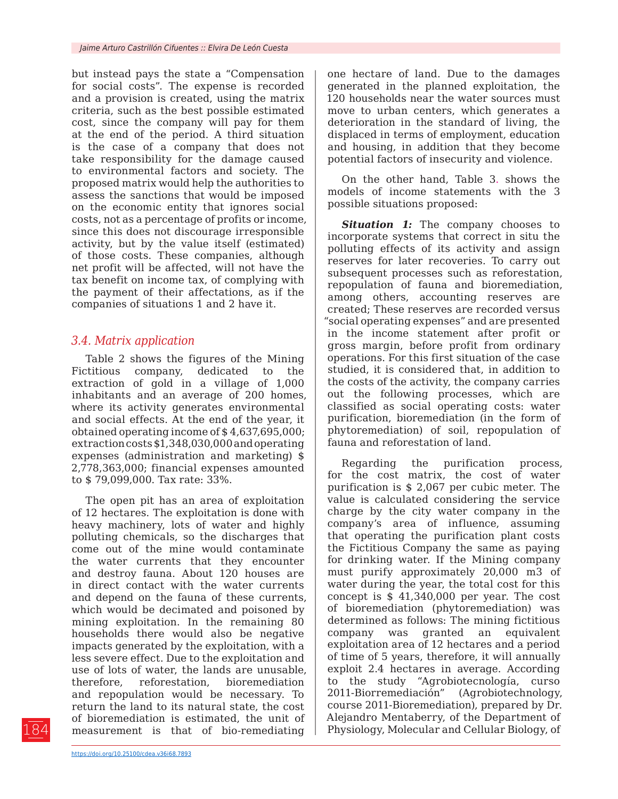but instead pays the state a "Compensation for social costs". The expense is recorded and a provision is created, using the matrix criteria, such as the best possible estimated cost, since the company will pay for them at the end of the period. A third situation is the case of a company that does not take responsibility for the damage caused to environmental factors and society. The proposed matrix would help the authorities to assess the sanctions that would be imposed on the economic entity that ignores social costs, not as a percentage of profits or income, since this does not discourage irresponsible activity, but by the value itself (estimated) of those costs. These companies, although net profit will be affected, will not have the tax benefit on income tax, of complying with the payment of their affectations, as if the companies of situations 1 and 2 have it.

### *3.4. Matrix application*

Table 2 shows the figures of the Mining Fictitious company, dedicated to the extraction of gold in a village of 1,000 inhabitants and an average of 200 homes, where its activity generates environmental and social effects. At the end of the year, it obtained operating income of \$ 4,637,695,000; extraction costs \$1,348,030,000 and operating expenses (administration and marketing) \$ 2,778,363,000; financial expenses amounted to \$ 79,099,000. Tax rate: 33%.

The open pit has an area of exploitation of 12 hectares. The exploitation is done with heavy machinery, lots of water and highly polluting chemicals, so the discharges that come out of the mine would contaminate the water currents that they encounter and destroy fauna. About 120 houses are in direct contact with the water currents and depend on the fauna of these currents, which would be decimated and poisoned by mining exploitation. In the remaining 80 households there would also be negative impacts generated by the exploitation, with a less severe effect. Due to the exploitation and use of lots of water, the lands are unusable, therefore, reforestation, bioremediation and repopulation would be necessary. To return the land to its natural state, the cost of bioremediation is estimated, the unit of measurement is that of bio-remediating

one hectare of land. Due to the damages generated in the planned exploitation, the 120 households near the water sources must move to urban centers, which generates a deterioration in the standard of living, the displaced in terms of employment, education and housing, in addition that they become potential factors of insecurity and violence.

On the other hand, Table 3. shows the models of income statements with the 3 possible situations proposed:

**Situation 1:** The company chooses to incorporate systems that correct in situ the polluting effects of its activity and assign reserves for later recoveries. To carry out subsequent processes such as reforestation, repopulation of fauna and bioremediation, among others, accounting reserves are created; These reserves are recorded versus "social operating expenses" and are presented in the income statement after profit or gross margin, before profit from ordinary operations. For this first situation of the case studied, it is considered that, in addition to the costs of the activity, the company carries out the following processes, which are classified as social operating costs: water purification, bioremediation (in the form of phytoremediation) of soil, repopulation of fauna and reforestation of land.

Regarding the purification process, for the cost matrix, the cost of water purification is \$ 2,067 per cubic meter. The value is calculated considering the service charge by the city water company in the company's area of influence, assuming that operating the purification plant costs the Fictitious Company the same as paying for drinking water. If the Mining company must purify approximately 20,000 m3 of water during the year, the total cost for this concept is \$ 41,340,000 per year. The cost of bioremediation (phytoremediation) was determined as follows: The mining fictitious company was granted an equivalent exploitation area of 12 hectares and a period of time of 5 years, therefore, it will annually exploit 2.4 hectares in average. According to the study "Agrobiotecnología, curso 2011-Biorremediación" (Agrobiotechnology, course 2011-Bioremediation), prepared by Dr. Alejandro Mentaberry, of the Department of Physiology, Molecular and Cellular Biology, of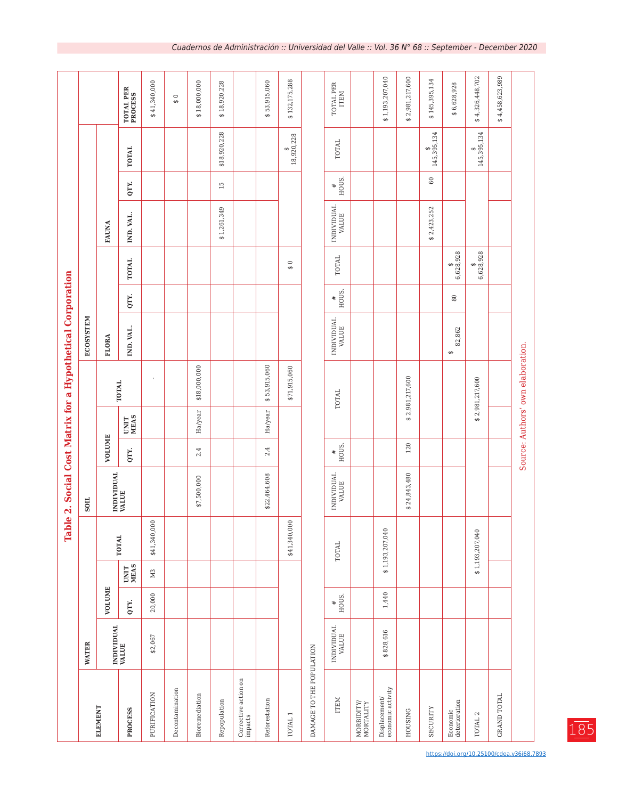|                                                                                |                     |            |                | $\bullet$<br>Tabl |                     |            |                     |                                   | 2. Social Cost Matrix for a Hypothetical Corporation |                           |               |                     |                 |                 |                      |
|--------------------------------------------------------------------------------|---------------------|------------|----------------|-------------------|---------------------|------------|---------------------|-----------------------------------|------------------------------------------------------|---------------------------|---------------|---------------------|-----------------|-----------------|----------------------|
|                                                                                | <b>WATER</b>        |            |                |                   | SOIL                |            |                     |                                   | ECOSYSTEM                                            |                           |               |                     |                 |                 |                      |
| ELEMENT                                                                        |                     | VOLUME     |                |                   |                     | VOLUME     |                     |                                   | <b>FLORA</b>                                         |                           |               | FAUNA               |                 |                 |                      |
| PROCESS                                                                        | INDIVIDUAL<br>VALUE | QTY.       | UNIT<br>MEAS   | <b>TOTAL</b>      | INDIVIDUAL<br>VALUE | QTY.       | <b>UNIT</b><br>MEAS | TOTAL                             | IND. VAL.                                            | QTY.                      | <b>TOTAL</b>  | IND. VAL.           | QTY.            | <b>TOTAL</b>    | TOTAL PER<br>PROCESS |
| PURIFICATION                                                                   | \$2,067             | 20,000     | M <sub>3</sub> | \$41,340,000      |                     |            |                     |                                   |                                                      |                           |               |                     |                 |                 | \$41,340,000         |
| Decontamination                                                                |                     |            |                |                   |                     |            |                     |                                   |                                                      |                           |               |                     |                 |                 | $\frac{6}{9}$        |
| Bioremediation                                                                 |                     |            |                |                   | \$7,500,000         | 2.4        | Ha/year             | \$18,000,000                      |                                                      |                           |               |                     |                 |                 | \$18,000,000         |
| Repopulation                                                                   |                     |            |                |                   |                     |            |                     |                                   |                                                      |                           |               | \$1,261,349         | 15              | \$18,920,228    | \$18,920,228         |
| Corrective action on<br>impacts                                                |                     |            |                |                   |                     |            |                     |                                   |                                                      |                           |               |                     |                 |                 |                      |
| Reforestation                                                                  |                     |            |                |                   | \$22,464,608        | 2.4        | Ha/year             | \$53,915,060                      |                                                      |                           |               |                     |                 |                 | \$53,915,060         |
| TOTAL <sub>1</sub>                                                             |                     |            |                | \$41,340,000      |                     |            |                     | \$71,915,060                      |                                                      |                           | $\frac{6}{9}$ |                     |                 | 18,920,228<br>↮ | \$132,175,288        |
| DAMAGE TO THE POPULATION                                                       |                     |            |                |                   |                     |            |                     |                                   |                                                      |                           |               |                     |                 |                 |                      |
| ITEM                                                                           | INDIVIDUAL<br>VALUE | #<br>HOUS. |                | <b>TOTAL</b>      | INDIVIDUAL<br>VALUE | #<br>HOUS. |                     | <b>TOTAL</b>                      | INDIVIDUAL<br>VALUE                                  | $\frac{4}{\text{HOUS}}$ . | <b>TOTAL</b>  | INDIVIDUAL<br>VALUE | $\frac{4}{100}$ | <b>TOTAL</b>    | TOTAL PER<br>ITEM    |
| $\begin{array}{c} \text{MORBIDITY} \\ \text{MORTALITY} \end{array}$            |                     |            |                |                   |                     |            |                     |                                   |                                                      |                           |               |                     |                 |                 |                      |
| $\begin{array}{ll} \text{Displacement} \\\text{economic activity} \end{array}$ | \$828,616           | 1,440      |                | \$1,193,207,040   |                     |            |                     |                                   |                                                      |                           |               |                     |                 |                 | \$1,193,207,040      |
| <b>HOUSING</b>                                                                 |                     |            |                |                   | \$24,843,480        | 120        |                     | \$2,981,217,600                   |                                                      |                           |               |                     |                 |                 | \$2,981,217,600      |
| <b>SECURITY</b>                                                                |                     |            |                |                   |                     |            |                     |                                   |                                                      |                           |               | \$2,423,252         | $\mbox{60}$     | 145,395,134     | \$145,395,134        |
| Economic<br>deterioration                                                      |                     |            |                |                   |                     |            |                     |                                   | 82,862<br>$\Theta$                                   | $\rm 80$                  | 6,628,928     |                     |                 |                 | \$6,628,928          |
| TOTAL <sub>2</sub>                                                             |                     |            |                | \$1,193,207,040   |                     |            |                     | \$2,981,217,600                   |                                                      |                           | 6,628,928     |                     |                 | 145,395,134     | \$4,326,448,702      |
| <b>GRAND TOTAL</b>                                                             |                     |            |                |                   |                     |            |                     |                                   |                                                      |                           |               |                     |                 |                 | \$4,458,623,989      |
|                                                                                |                     |            |                |                   |                     |            |                     | Source: Authors' own elaboration. |                                                      |                           |               |                     |                 |                 |                      |

https://doi.org/10.25100/cdea.v36i68.7893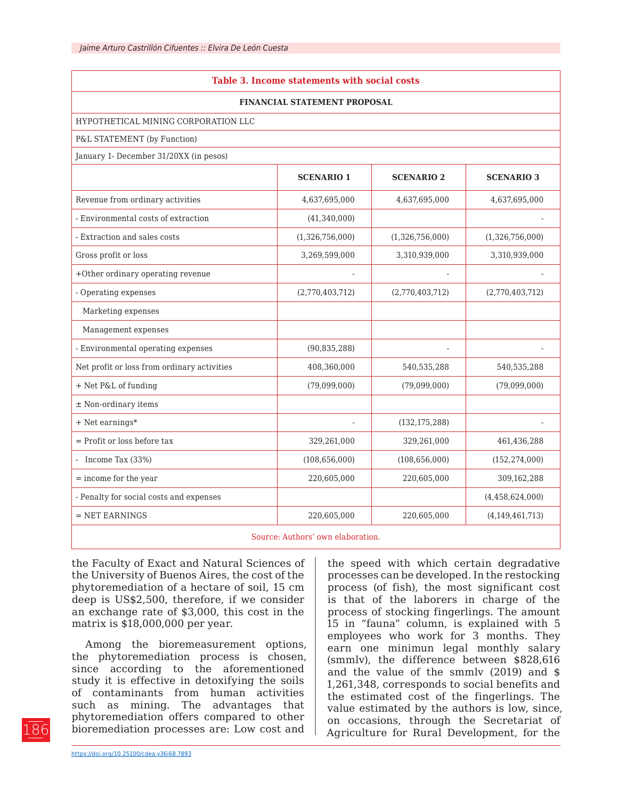| Table 3. Income statements with social costs |                   |                   |                    |  |  |  |  |  |  |  |  |
|----------------------------------------------|-------------------|-------------------|--------------------|--|--|--|--|--|--|--|--|
| FINANCIAL STATEMENT PROPOSAL                 |                   |                   |                    |  |  |  |  |  |  |  |  |
| HYPOTHETICAL MINING CORPORATION LLC          |                   |                   |                    |  |  |  |  |  |  |  |  |
| P&L STATEMENT (by Function)                  |                   |                   |                    |  |  |  |  |  |  |  |  |
| January 1- December 31/20XX (in pesos)       |                   |                   |                    |  |  |  |  |  |  |  |  |
|                                              | <b>SCENARIO 1</b> | <b>SCENARIO 2</b> | <b>SCENARIO 3</b>  |  |  |  |  |  |  |  |  |
| Revenue from ordinary activities             | 4,637,695,000     | 4,637,695,000     | 4,637,695,000      |  |  |  |  |  |  |  |  |
| - Environmental costs of extraction          | (41, 340, 000)    |                   |                    |  |  |  |  |  |  |  |  |
| - Extraction and sales costs                 | (1,326,756,000)   | (1,326,756,000)   | (1,326,756,000)    |  |  |  |  |  |  |  |  |
| Gross profit or loss                         | 3,269,599,000     | 3,310,939,000     | 3,310,939,000      |  |  |  |  |  |  |  |  |
| +Other ordinary operating revenue            |                   |                   |                    |  |  |  |  |  |  |  |  |
| - Operating expenses                         | (2,770,403,712)   | (2,770,403,712)   | (2,770,403,712)    |  |  |  |  |  |  |  |  |
| Marketing expenses                           |                   |                   |                    |  |  |  |  |  |  |  |  |
| Management expenses                          |                   |                   |                    |  |  |  |  |  |  |  |  |
| - Environmental operating expenses           | (90, 835, 288)    |                   |                    |  |  |  |  |  |  |  |  |
| Net profit or loss from ordinary activities  | 408,360,000       | 540,535,288       | 540,535,288        |  |  |  |  |  |  |  |  |
| + Net P&L of funding                         | (79,099,000)      | (79,099,000)      | (79,099,000)       |  |  |  |  |  |  |  |  |
| ± Non-ordinary items                         |                   |                   |                    |  |  |  |  |  |  |  |  |
| $+$ Net earnings*                            |                   | (132, 175, 288)   |                    |  |  |  |  |  |  |  |  |
| $=$ Profit or loss before tax                | 329,261,000       | 329,261,000       | 461,436,288        |  |  |  |  |  |  |  |  |
| - Income Tax $(33%)$                         | (108, 656, 000)   | (108, 656, 000)   | (152, 274, 000)    |  |  |  |  |  |  |  |  |
| $=$ income for the year                      | 220,605,000       | 220,605,000       | 309,162,288        |  |  |  |  |  |  |  |  |
| - Penalty for social costs and expenses      |                   |                   | (4,458,624,000)    |  |  |  |  |  |  |  |  |
| $=$ NET EARNINGS                             | 220,605,000       | 220,605,000       | (4, 149, 461, 713) |  |  |  |  |  |  |  |  |
|                                              |                   |                   |                    |  |  |  |  |  |  |  |  |

Source: Authors' own elaboration.

the Faculty of Exact and Natural Sciences of the University of Buenos Aires, the cost of the phytoremediation of a hectare of soil, 15 cm deep is US\$2,500, therefore, if we consider an exchange rate of \$3,000, this cost in the matrix is \$18,000,000 per year.

Among the bioremeasurement options, the phytoremediation process is chosen, since according to the aforementioned study it is effective in detoxifying the soils of contaminants from human activities such as mining. The advantages that phytoremediation offers compared to other bioremediation processes are: Low cost and

the speed with which certain degradative processes can be developed. In the restocking process (of fish), the most significant cost is that of the laborers in charge of the process of stocking fingerlings. The amount 15 in "fauna" column, is explained with 5 employees who work for 3 months. They earn one minimun legal monthly salary (smmlv), the difference between \$828,616 and the value of the smmlv (2019) and \$ 1,261,348, corresponds to social benefits and the estimated cost of the fingerlings. The value estimated by the authors is low, since, on occasions, through the Secretariat of Agriculture for Rural Development, for the

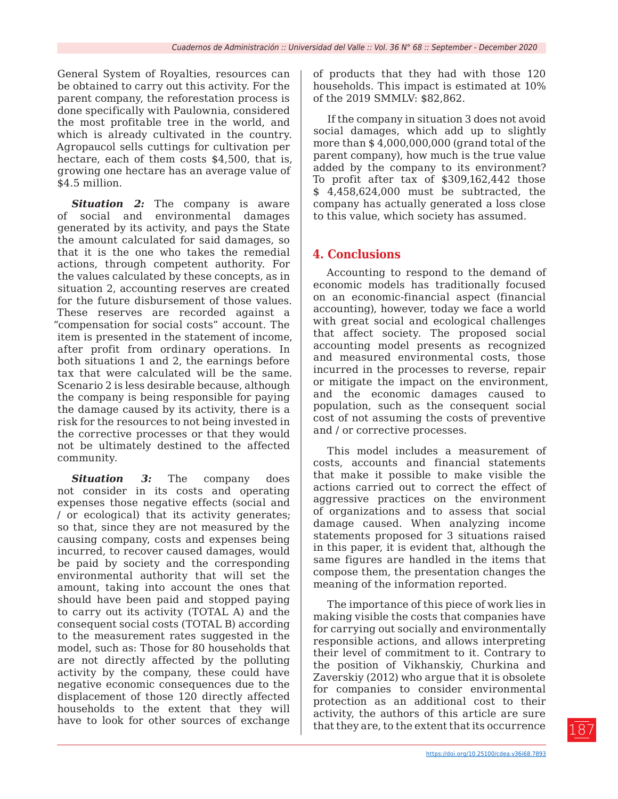General System of Royalties, resources can be obtained to carry out this activity. For the parent company, the reforestation process is done specifically with Paulownia, considered the most profitable tree in the world, and which is already cultivated in the country. Agropaucol sells cuttings for cultivation per hectare, each of them costs \$4,500, that is, growing one hectare has an average value of \$4.5 million.

**Situation 2:** The company is aware of social and environmental damages generated by its activity, and pays the State the amount calculated for said damages, so that it is the one who takes the remedial actions, through competent authority. For the values calculated by these concepts, as in situation 2, accounting reserves are created for the future disbursement of those values. These reserves are recorded against a "compensation for social costs" account. The item is presented in the statement of income, after profit from ordinary operations. In both situations 1 and 2, the earnings before tax that were calculated will be the same. Scenario 2 is less desirable because, although the company is being responsible for paying the damage caused by its activity, there is a risk for the resources to not being invested in the corrective processes or that they would not be ultimately destined to the affected community.

*Situation 3:* The company does not consider in its costs and operating expenses those negative effects (social and / or ecological) that its activity generates; so that, since they are not measured by the causing company, costs and expenses being incurred, to recover caused damages, would be paid by society and the corresponding environmental authority that will set the amount, taking into account the ones that should have been paid and stopped paying to carry out its activity (TOTAL A) and the consequent social costs (TOTAL B) according to the measurement rates suggested in the model, such as: Those for 80 households that are not directly affected by the polluting activity by the company, these could have negative economic consequences due to the displacement of those 120 directly affected households to the extent that they will have to look for other sources of exchange

of products that they had with those 120 households. This impact is estimated at 10% of the 2019 SMMLV: \$82,862.

If the company in situation 3 does not avoid social damages, which add up to slightly more than \$ 4,000,000,000 (grand total of the parent company), how much is the true value added by the company to its environment? To profit after tax of \$309,162,442 those \$ 4,458,624,000 must be subtracted, the company has actually generated a loss close to this value, which society has assumed.

### **4. Conclusions**

Accounting to respond to the demand of economic models has traditionally focused on an economic-financial aspect (financial accounting), however, today we face a world with great social and ecological challenges that affect society. The proposed social accounting model presents as recognized and measured environmental costs, those incurred in the processes to reverse, repair or mitigate the impact on the environment, and the economic damages caused to population, such as the consequent social cost of not assuming the costs of preventive and / or corrective processes.

This model includes a measurement of costs, accounts and financial statements that make it possible to make visible the actions carried out to correct the effect of aggressive practices on the environment of organizations and to assess that social damage caused. When analyzing income statements proposed for 3 situations raised in this paper, it is evident that, although the same figures are handled in the items that compose them, the presentation changes the meaning of the information reported.

The importance of this piece of work lies in making visible the costs that companies have for carrying out socially and environmentally responsible actions, and allows interpreting their level of commitment to it. Contrary to the position of Vikhanskiy, Churkina and Zaverskiy (2012) who argue that it is obsolete for companies to consider environmental protection as an additional cost to their activity, the authors of this article are sure that they are, to the extent that its occurrence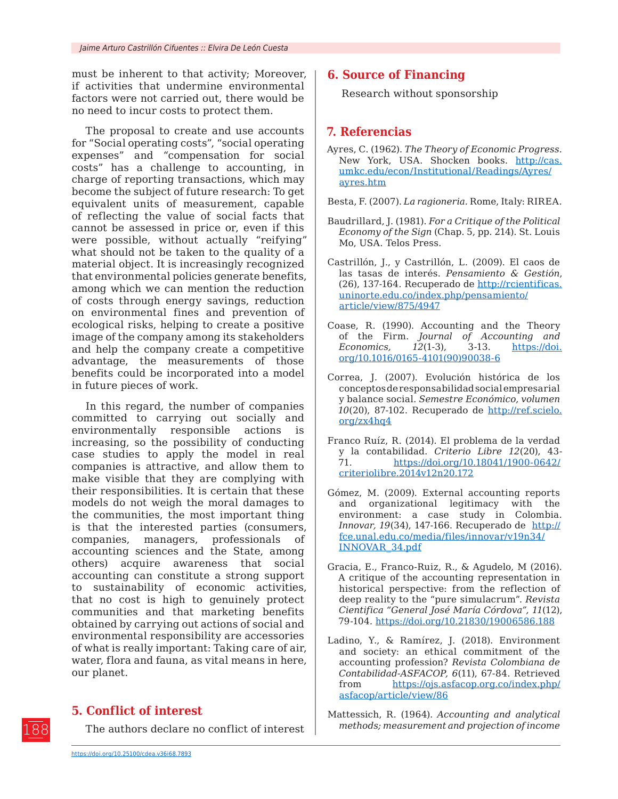must be inherent to that activity; Moreover, if activities that undermine environmental factors were not carried out, there would be no need to incur costs to protect them.

The proposal to create and use accounts for "Social operating costs", "social operating expenses" and "compensation for social costs" has a challenge to accounting, in charge of reporting transactions, which may become the subject of future research: To get equivalent units of measurement, capable of reflecting the value of social facts that cannot be assessed in price or, even if this were possible, without actually "reifying" what should not be taken to the quality of a material object. It is increasingly recognized that environmental policies generate benefits, among which we can mention the reduction of costs through energy savings, reduction on environmental fines and prevention of ecological risks, helping to create a positive image of the company among its stakeholders and help the company create a competitive advantage, the measurements of those benefits could be incorporated into a model in future pieces of work.

In this regard, the number of companies committed to carrying out socially and environmentally responsible actions is increasing, so the possibility of conducting case studies to apply the model in real companies is attractive, and allow them to make visible that they are complying with their responsibilities. It is certain that these models do not weigh the moral damages to the communities, the most important thing is that the interested parties (consumers, companies, managers, professionals of accounting sciences and the State, among others) acquire awareness that social accounting can constitute a strong support to sustainability of economic activities, that no cost is high to genuinely protect communities and that marketing benefits obtained by carrying out actions of social and environmental responsibility are accessories of what is really important: Taking care of air, water, flora and fauna, as vital means in here, our planet.

### **5. Conflict of interest**

The authors declare no conflict of interest

## **6. Source of Financing**

Research without sponsorship

### **7. Referencias**

- Ayres, C. (1962). *The Theory of Economic Progress.*  New York, USA. Shocken books. [http://cas.](http://cas.umkc.edu/econ/Institutional/Readings/Ayres/ayres.htm) [umkc.edu/econ/Institutional/Readings/Ayres/](http://cas.umkc.edu/econ/Institutional/Readings/Ayres/ayres.htm) [ayres.htm](http://cas.umkc.edu/econ/Institutional/Readings/Ayres/ayres.htm)
- Besta, F. (2007). *La ragioneria.* Rome, Italy: RIREA.
- Baudrillard, J. (1981). *For a Critique of the Political Economy of the Sign* (Chap. 5, pp. 214). St. Louis Mo, USA. Telos Press.
- Castrillón, J., y Castrillón, L. (2009). El caos de las tasas de interés. *Pensamiento & Gestión*, (26), 137-164. Recuperado de [http://rcientificas.](http://rcientificas.uninorte.edu.co/index.php/pensamiento/article/view/875/4947) [uninorte.edu.co/index.php/pensamiento/](http://rcientificas.uninorte.edu.co/index.php/pensamiento/article/view/875/4947) [article/view/875/4947](http://rcientificas.uninorte.edu.co/index.php/pensamiento/article/view/875/4947)
- Coase, R. (1990). Accounting and the Theory of the Firm. *Journal of Accounting and Economics, 12*(1-3), 3-13. [https://doi.](https://doi.org/10.1016/0165-4101(90)90038-6) [org/10.1016/0165-4101\(90\)90038-6](https://doi.org/10.1016/0165-4101(90)90038-6)
- Correa, J. (2007). Evolución histórica de los conceptos de responsabilidad social empresarial y balance social. *Semestre Económico, volumen 10*(20), 87-102. Recuperado de [http://ref.scielo.](http://ref.scielo.org/zx4hq4) [org/zx4hq4](http://ref.scielo.org/zx4hq4)
- Franco Ruíz, R. (2014). El problema de la verdad y la contabilidad. *Criterio Libre 12*(20), 43- 71. [https://doi.org/10.18041/1900-0642/](https://doi.org/10.18041/1900-0642/criteriolibre.2014v12n20.172) [criteriolibre.2014v12n20.172](https://doi.org/10.18041/1900-0642/criteriolibre.2014v12n20.172)
- Gómez, M. (2009). External accounting reports and organizational legitimacy with the environment: a case study in Colombia. *Innovar, 19*(34), 147-166. Recuperado de [http://](http://fce.unal.edu.co/media/files/innovar/v19n34/INNOVAR_34.pdf) [fce.unal.edu.co/media/files/innovar/v19n34/](http://fce.unal.edu.co/media/files/innovar/v19n34/INNOVAR_34.pdf) [INNOVAR\\_34.pdf](http://fce.unal.edu.co/media/files/innovar/v19n34/INNOVAR_34.pdf)
- Gracia, E., Franco-Ruiz, R., & Agudelo, M (2016). A critique of the accounting representation in historical perspective: from the reflection of deep reality to the "pure simulacrum". *Revista Cientifica "General José María Córdova", 11*(12), 79-104.<https://doi.org/10.21830/19006586.188>
- Ladino, Y., & Ramírez, J. (2018). Environment and society: an ethical commitment of the accounting profession? *Revista Colombiana de Contabilidad-ASFACOP, 6*(11), 67-84. Retrieved from [https://ojs.asfacop.org.co/index.php/](https://ojs.asfacop.org.co/index.php/asfacop/article/view/86) [asfacop/article/view/86](https://ojs.asfacop.org.co/index.php/asfacop/article/view/86)
- Mattessich, R. (1964). *Accounting and analytical methods; measurement and projection of income*